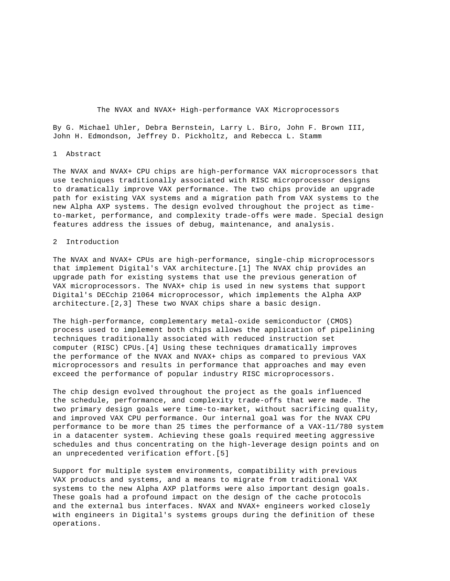By G. Michael Uhler, Debra Bernstein, Larry L. Biro, John F. Brown III, John H. Edmondson, Jeffrey D. Pickholtz, and Rebecca L. Stamm

### 1 Abstract

The NVAX and NVAX+ CPU chips are high-performance VAX microprocessors that use techniques traditionally associated with RISC microprocessor designs to dramatically improve VAX performance. The two chips provide an upgrade path for existing VAX systems and a migration path from VAX systems to the new Alpha AXP systems. The design evolved throughout the project as timeto-market, performance, and complexity trade-offs were made. Special design features address the issues of debug, maintenance, and analysis.

# 2 Introduction

The NVAX and NVAX+ CPUs are high-performance, single-chip microprocessors that implement Digital's VAX architecture.[1] The NVAX chip provides an upgrade path for existing systems that use the previous generation of VAX microprocessors. The NVAX+ chip is used in new systems that support Digital's DECchip 21064 microprocessor, which implements the Alpha AXP architecture.[2,3] These two NVAX chips share a basic design.

The high-performance, complementary metal-oxide semiconductor (CMOS) process used to implement both chips allows the application of pipelining techniques traditionally associated with reduced instruction set computer (RISC) CPUs.[4] Using these techniques dramatically improves the performance of the NVAX and NVAX+ chips as compared to previous VAX microprocessors and results in performance that approaches and may even exceed the performance of popular industry RISC microprocessors.

The chip design evolved throughout the project as the goals influenced the schedule, performance, and complexity trade-offs that were made. The two primary design goals were time-to-market, without sacrificing quality, and improved VAX CPU performance. Our internal goal was for the NVAX CPU performance to be more than 25 times the performance of a VAX-11/780 system in a datacenter system. Achieving these goals required meeting aggressive schedules and thus concentrating on the high-leverage design points and on an unprecedented verification effort.[5]

Support for multiple system environments, compatibility with previous VAX products and systems, and a means to migrate from traditional VAX systems to the new Alpha AXP platforms were also important design goals. These goals had a profound impact on the design of the cache protocols and the external bus interfaces. NVAX and NVAX+ engineers worked closely with engineers in Digital's systems groups during the definition of these operations.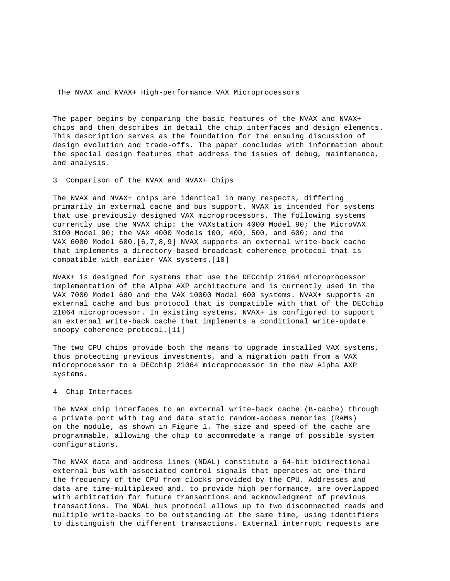The paper begins by comparing the basic features of the NVAX and NVAX+ chips and then describes in detail the chip interfaces and design elements. This description serves as the foundation for the ensuing discussion of design evolution and trade-offs. The paper concludes with information about the special design features that address the issues of debug, maintenance, and analysis.

3 Comparison of the NVAX and NVAX+ Chips

The NVAX and NVAX+ chips are identical in many respects, differing primarily in external cache and bus support. NVAX is intended for systems that use previously designed VAX microprocessors. The following systems currently use the NVAX chip: the VAXstation 4000 Model 90; the MicroVAX 3100 Model 90; the VAX 4000 Models 100, 400, 500, and 600; and the VAX 6000 Model 600.[6,7,8,9] NVAX supports an external write-back cache that implements a directory-based broadcast coherence protocol that is compatible with earlier VAX systems.[10]

NVAX+ is designed for systems that use the DECchip 21064 microprocessor implementation of the Alpha AXP architecture and is currently used in the VAX 7000 Model 600 and the VAX 10000 Model 600 systems. NVAX+ supports an external cache and bus protocol that is compatible with that of the DECchip 21064 microprocessor. In existing systems, NVAX+ is configured to support an external write-back cache that implements a conditional write-update snoopy coherence protocol.[11]

The two CPU chips provide both the means to upgrade installed VAX systems, thus protecting previous investments, and a migration path from a VAX microprocessor to a DECchip 21064 microprocessor in the new Alpha AXP systems.

# 4 Chip Interfaces

The NVAX chip interfaces to an external write-back cache (B-cache) through a private port with tag and data static random-access memories (RAMs) on the module, as shown in Figure 1. The size and speed of the cache are programmable, allowing the chip to accommodate a range of possible system configurations.

The NVAX data and address lines (NDAL) constitute a 64-bit bidirectional external bus with associated control signals that operates at one-third the frequency of the CPU from clocks provided by the CPU. Addresses and data are time-multiplexed and, to provide high performance, are overlapped with arbitration for future transactions and acknowledgment of previous transactions. The NDAL bus protocol allows up to two disconnected reads and multiple write-backs to be outstanding at the same time, using identifiers to distinguish the different transactions. External interrupt requests are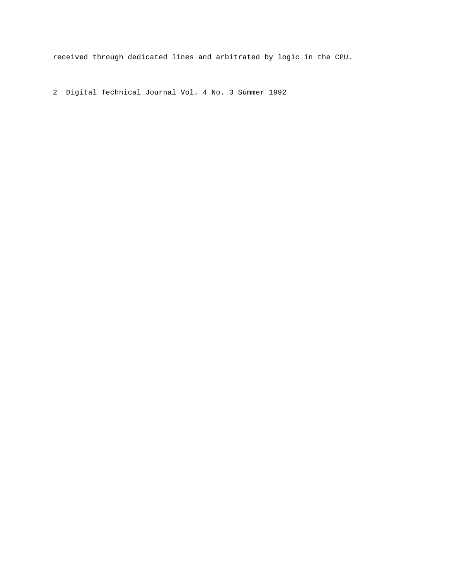received through dedicated lines and arbitrated by logic in the CPU.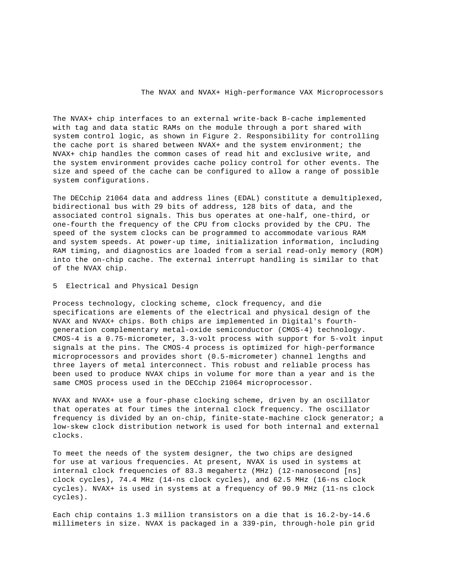The NVAX+ chip interfaces to an external write-back B-cache implemented with tag and data static RAMs on the module through a port shared with system control logic, as shown in Figure 2. Responsibility for controlling the cache port is shared between NVAX+ and the system environment; the NVAX+ chip handles the common cases of read hit and exclusive write, and the system environment provides cache policy control for other events. The size and speed of the cache can be configured to allow a range of possible system configurations.

The DECchip 21064 data and address lines (EDAL) constitute a demultiplexed, bidirectional bus with 29 bits of address, 128 bits of data, and the associated control signals. This bus operates at one-half, one-third, or one-fourth the frequency of the CPU from clocks provided by the CPU. The speed of the system clocks can be programmed to accommodate various RAM and system speeds. At power-up time, initialization information, including RAM timing, and diagnostics are loaded from a serial read-only memory (ROM) into the on-chip cache. The external interrupt handling is similar to that of the NVAX chip.

# 5 Electrical and Physical Design

Process technology, clocking scheme, clock frequency, and die specifications are elements of the electrical and physical design of the NVAX and NVAX+ chips. Both chips are implemented in Digital's fourthgeneration complementary metal-oxide semiconductor (CMOS-4) technology. CMOS-4 is a 0.75-micrometer, 3.3-volt process with support for 5-volt input signals at the pins. The CMOS-4 process is optimized for high-performance microprocessors and provides short (0.5-micrometer) channel lengths and three layers of metal interconnect. This robust and reliable process has been used to produce NVAX chips in volume for more than a year and is the same CMOS process used in the DECchip 21064 microprocessor.

NVAX and NVAX+ use a four-phase clocking scheme, driven by an oscillator that operates at four times the internal clock frequency. The oscillator frequency is divided by an on-chip, finite-state-machine clock generator; a low-skew clock distribution network is used for both internal and external clocks.

To meet the needs of the system designer, the two chips are designed for use at various frequencies. At present, NVAX is used in systems at internal clock frequencies of 83.3 megahertz (MHz) (12-nanosecond [ns] clock cycles), 74.4 MHz (14-ns clock cycles), and 62.5 MHz (16-ns clock cycles). NVAX+ is used in systems at a frequency of 90.9 MHz (11-ns clock cycles).

Each chip contains 1.3 million transistors on a die that is 16.2-by-14.6 millimeters in size. NVAX is packaged in a 339-pin, through-hole pin grid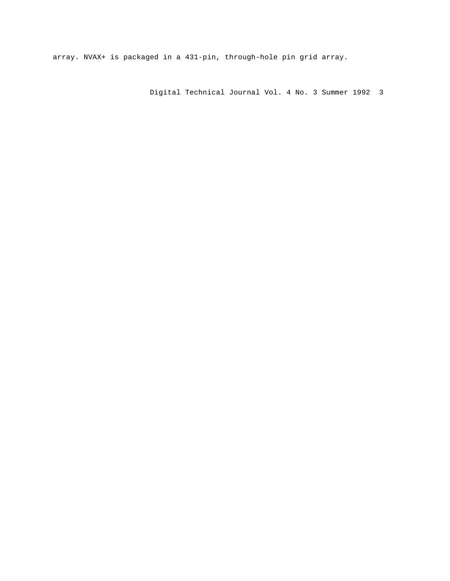array. NVAX+ is packaged in a 431-pin, through-hole pin grid array.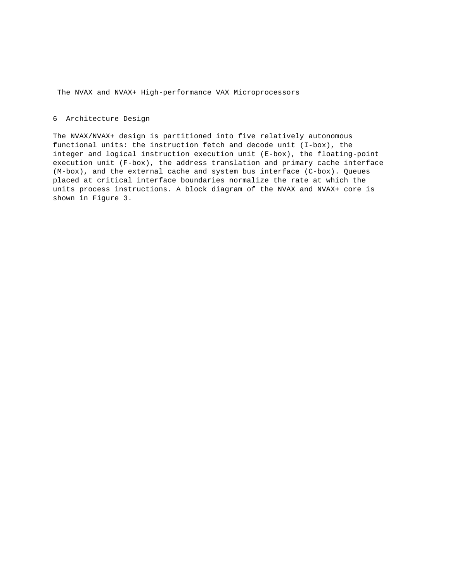# 6 Architecture Design

The NVAX/NVAX+ design is partitioned into five relatively autonomous functional units: the instruction fetch and decode unit (I-box), the integer and logical instruction execution unit (E-box), the floating-point execution unit (F-box), the address translation and primary cache interface (M-box), and the external cache and system bus interface (C-box). Queues placed at critical interface boundaries normalize the rate at which the units process instructions. A block diagram of the NVAX and NVAX+ core is shown in Figure 3.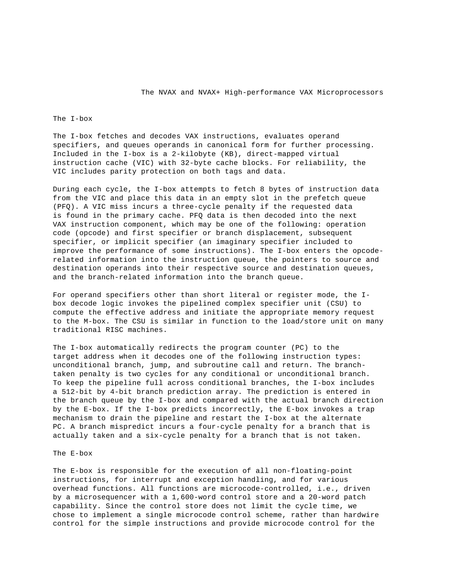The I-box

The I-box fetches and decodes VAX instructions, evaluates operand specifiers, and queues operands in canonical form for further processing. Included in the I-box is a 2-kilobyte (KB), direct-mapped virtual instruction cache (VIC) with 32-byte cache blocks. For reliability, the VIC includes parity protection on both tags and data.

During each cycle, the I-box attempts to fetch 8 bytes of instruction data from the VIC and place this data in an empty slot in the prefetch queue (PFQ). A VIC miss incurs a three-cycle penalty if the requested data is found in the primary cache. PFQ data is then decoded into the next VAX instruction component, which may be one of the following: operation code (opcode) and first specifier or branch displacement, subsequent specifier, or implicit specifier (an imaginary specifier included to improve the performance of some instructions). The I-box enters the opcoderelated information into the instruction queue, the pointers to source and destination operands into their respective source and destination queues, and the branch-related information into the branch queue.

For operand specifiers other than short literal or register mode, the Ibox decode logic invokes the pipelined complex specifier unit (CSU) to compute the effective address and initiate the appropriate memory request to the M-box. The CSU is similar in function to the load/store unit on many traditional RISC machines.

The I-box automatically redirects the program counter (PC) to the target address when it decodes one of the following instruction types: unconditional branch, jump, and subroutine call and return. The branchtaken penalty is two cycles for any conditional or unconditional branch. To keep the pipeline full across conditional branches, the I-box includes a 512-bit by 4-bit branch prediction array. The prediction is entered in the branch queue by the I-box and compared with the actual branch direction by the E-box. If the I-box predicts incorrectly, the E-box invokes a trap mechanism to drain the pipeline and restart the I-box at the alternate PC. A branch mispredict incurs a four-cycle penalty for a branch that is actually taken and a six-cycle penalty for a branch that is not taken.

# The E-box

The E-box is responsible for the execution of all non-floating-point instructions, for interrupt and exception handling, and for various overhead functions. All functions are microcode-controlled, i.e., driven by a microsequencer with a 1,600-word control store and a 20-word patch capability. Since the control store does not limit the cycle time, we chose to implement a single microcode control scheme, rather than hardwire control for the simple instructions and provide microcode control for the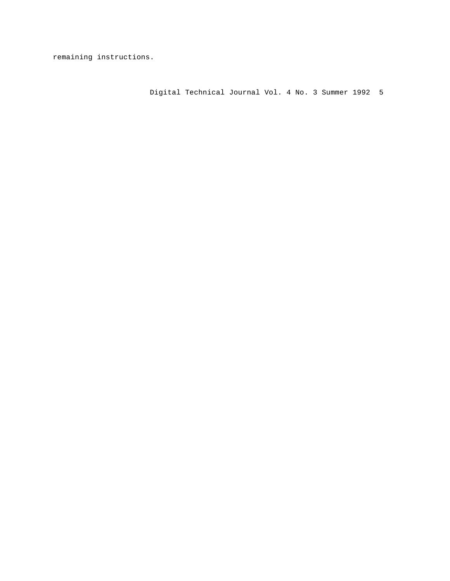remaining instructions.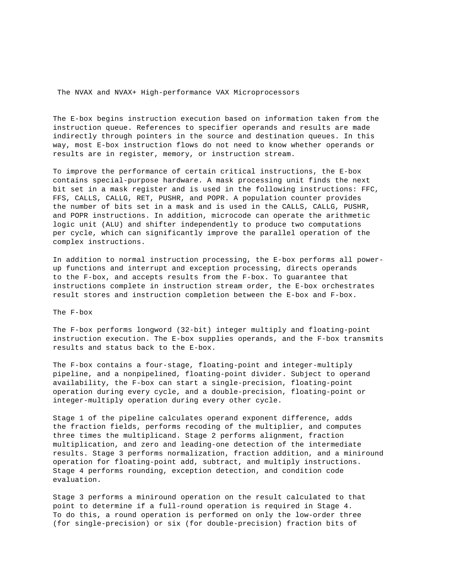The E-box begins instruction execution based on information taken from the instruction queue. References to specifier operands and results are made indirectly through pointers in the source and destination queues. In this way, most E-box instruction flows do not need to know whether operands or results are in register, memory, or instruction stream.

To improve the performance of certain critical instructions, the E-box contains special-purpose hardware. A mask processing unit finds the next bit set in a mask register and is used in the following instructions: FFC, FFS, CALLS, CALLG, RET, PUSHR, and POPR. A population counter provides the number of bits set in a mask and is used in the CALLS, CALLG, PUSHR, and POPR instructions. In addition, microcode can operate the arithmetic logic unit (ALU) and shifter independently to produce two computations per cycle, which can significantly improve the parallel operation of the complex instructions.

In addition to normal instruction processing, the E-box performs all powerup functions and interrupt and exception processing, directs operands to the F-box, and accepts results from the F-box. To guarantee that instructions complete in instruction stream order, the E-box orchestrates result stores and instruction completion between the E-box and F-box.

The F-box

The F-box performs longword (32-bit) integer multiply and floating-point instruction execution. The E-box supplies operands, and the F-box transmits results and status back to the E-box.

The F-box contains a four-stage, floating-point and integer-multiply pipeline, and a nonpipelined, floating-point divider. Subject to operand availability, the F-box can start a single-precision, floating-point operation during every cycle, and a double-precision, floating-point or integer-multiply operation during every other cycle.

Stage 1 of the pipeline calculates operand exponent difference, adds the fraction fields, performs recoding of the multiplier, and computes three times the multiplicand. Stage 2 performs alignment, fraction multiplication, and zero and leading-one detection of the intermediate results. Stage 3 performs normalization, fraction addition, and a miniround operation for floating-point add, subtract, and multiply instructions. Stage 4 performs rounding, exception detection, and condition code evaluation.

Stage 3 performs a miniround operation on the result calculated to that point to determine if a full-round operation is required in Stage 4. To do this, a round operation is performed on only the low-order three (for single-precision) or six (for double-precision) fraction bits of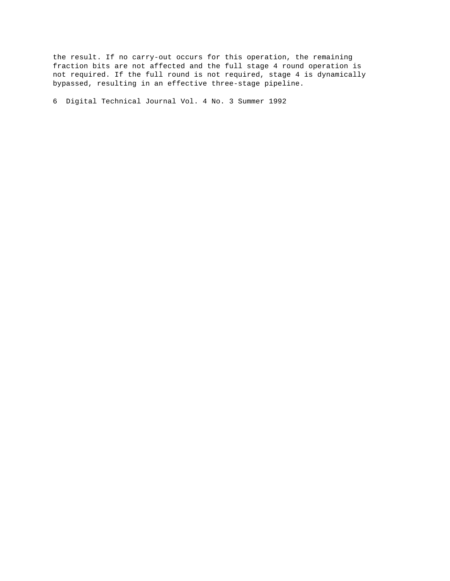the result. If no carry-out occurs for this operation, the remaining fraction bits are not affected and the full stage 4 round operation is not required. If the full round is not required, stage 4 is dynamically bypassed, resulting in an effective three-stage pipeline.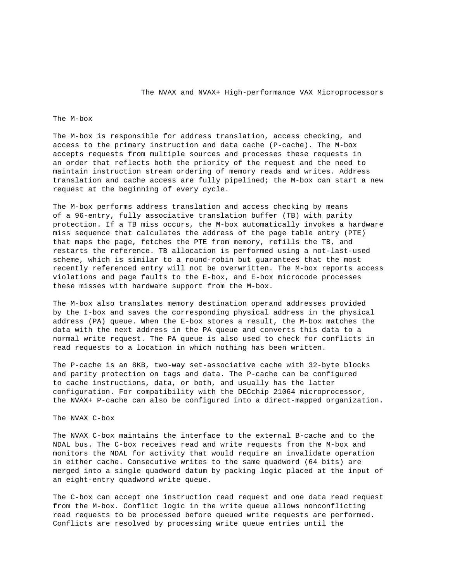# The M-box

The M-box is responsible for address translation, access checking, and access to the primary instruction and data cache (P-cache). The M-box accepts requests from multiple sources and processes these requests in an order that reflects both the priority of the request and the need to maintain instruction stream ordering of memory reads and writes. Address translation and cache access are fully pipelined; the M-box can start a new request at the beginning of every cycle.

The M-box performs address translation and access checking by means of a 96-entry, fully associative translation buffer (TB) with parity protection. If a TB miss occurs, the M-box automatically invokes a hardware miss sequence that calculates the address of the page table entry (PTE) that maps the page, fetches the PTE from memory, refills the TB, and restarts the reference. TB allocation is performed using a not-last-used scheme, which is similar to a round-robin but guarantees that the most recently referenced entry will not be overwritten. The M-box reports access violations and page faults to the E-box, and E-box microcode processes these misses with hardware support from the M-box.

The M-box also translates memory destination operand addresses provided by the I-box and saves the corresponding physical address in the physical address (PA) queue. When the E-box stores a result, the M-box matches the data with the next address in the PA queue and converts this data to a normal write request. The PA queue is also used to check for conflicts in read requests to a location in which nothing has been written.

The P-cache is an 8KB, two-way set-associative cache with 32-byte blocks and parity protection on tags and data. The P-cache can be configured to cache instructions, data, or both, and usually has the latter configuration. For compatibility with the DECchip 21064 microprocessor, the NVAX+ P-cache can also be configured into a direct-mapped organization.

# The NVAX C-box

The NVAX C-box maintains the interface to the external B-cache and to the NDAL bus. The C-box receives read and write requests from the M-box and monitors the NDAL for activity that would require an invalidate operation in either cache. Consecutive writes to the same quadword (64 bits) are merged into a single quadword datum by packing logic placed at the input of an eight-entry quadword write queue.

The C-box can accept one instruction read request and one data read request from the M-box. Conflict logic in the write queue allows nonconflicting read requests to be processed before queued write requests are performed. Conflicts are resolved by processing write queue entries until the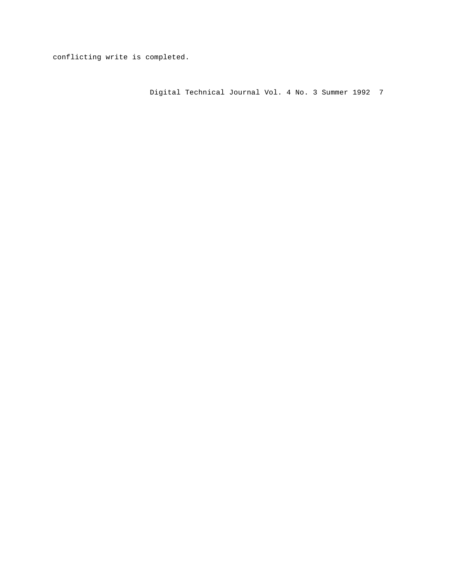conflicting write is completed.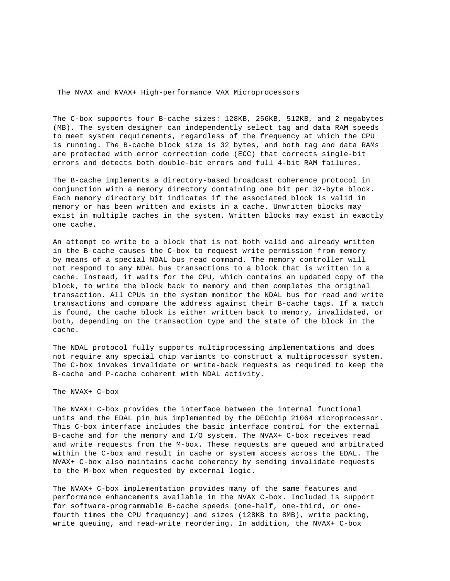The C-box supports four B-cache sizes: 128KB, 256KB, 512KB, and 2 megabytes (MB). The system designer can independently select tag and data RAM speeds to meet system requirements, regardless of the frequency at which the CPU is running. The B-cache block size is 32 bytes, and both tag and data RAMs are protected with error correction code (ECC) that corrects single-bit errors and detects both double-bit errors and full 4-bit RAM failures.

The B-cache implements a directory-based broadcast coherence protocol in conjunction with a memory directory containing one bit per 32-byte block. Each memory directory bit indicates if the associated block is valid in memory or has been written and exists in a cache. Unwritten blocks may exist in multiple caches in the system. Written blocks may exist in exactly one cache.

An attempt to write to a block that is not both valid and already written in the B-cache causes the C-box to request write permission from memory by means of a special NDAL bus read command. The memory controller will not respond to any NDAL bus transactions to a block that is written in a cache. Instead, it waits for the CPU, which contains an updated copy of the block, to write the block back to memory and then completes the original transaction. All CPUs in the system monitor the NDAL bus for read and write transactions and compare the address against their B-cache tags. If a match is found, the cache block is either written back to memory, invalidated, or both, depending on the transaction type and the state of the block in the cache.

The NDAL protocol fully supports multiprocessing implementations and does not require any special chip variants to construct a multiprocessor system. The C-box invokes invalidate or write-back requests as required to keep the B-cache and P-cache coherent with NDAL activity.

The NVAX+ C-box

The NVAX+ C-box provides the interface between the internal functional units and the EDAL pin bus implemented by the DECchip 21064 microprocessor. This C-box interface includes the basic interface control for the external B-cache and for the memory and I/O system. The NVAX+ C-box receives read and write requests from the M-box. These requests are queued and arbitrated within the C-box and result in cache or system access across the EDAL. The NVAX+ C-box also maintains cache coherency by sending invalidate requests to the M-box when requested by external logic.

The NVAX+ C-box implementation provides many of the same features and performance enhancements available in the NVAX C-box. Included is support for software-programmable B-cache speeds (one-half, one-third, or onefourth times the CPU frequency) and sizes (128KB to 8MB), write packing, write queuing, and read-write reordering. In addition, the NVAX+ C-box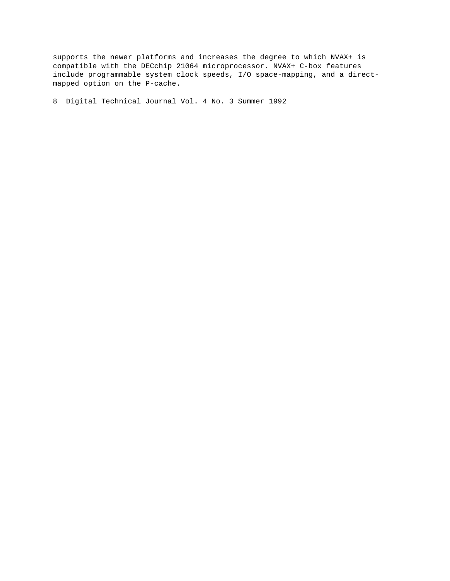supports the newer platforms and increases the degree to which NVAX+ is compatible with the DECchip 21064 microprocessor. NVAX+ C-box features include programmable system clock speeds, I/O space-mapping, and a directmapped option on the P-cache.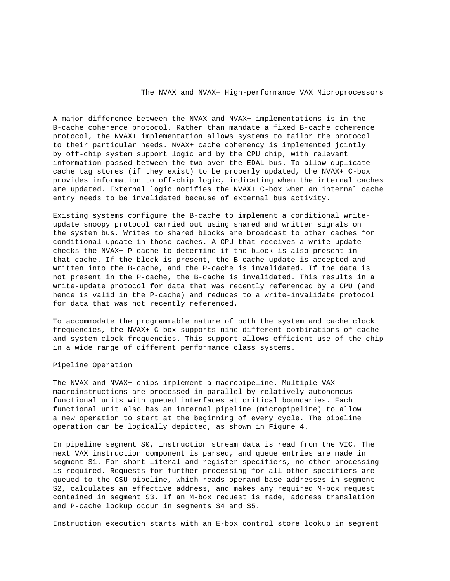A major difference between the NVAX and NVAX+ implementations is in the B-cache coherence protocol. Rather than mandate a fixed B-cache coherence protocol, the NVAX+ implementation allows systems to tailor the protocol to their particular needs. NVAX+ cache coherency is implemented jointly by off-chip system support logic and by the CPU chip, with relevant information passed between the two over the EDAL bus. To allow duplicate cache tag stores (if they exist) to be properly updated, the NVAX+ C-box provides information to off-chip logic, indicating when the internal caches are updated. External logic notifies the NVAX+ C-box when an internal cache entry needs to be invalidated because of external bus activity.

Existing systems configure the B-cache to implement a conditional writeupdate snoopy protocol carried out using shared and written signals on the system bus. Writes to shared blocks are broadcast to other caches for conditional update in those caches. A CPU that receives a write update checks the NVAX+ P-cache to determine if the block is also present in that cache. If the block is present, the B-cache update is accepted and written into the B-cache, and the P-cache is invalidated. If the data is not present in the P-cache, the B-cache is invalidated. This results in a write-update protocol for data that was recently referenced by a CPU (and hence is valid in the P-cache) and reduces to a write-invalidate protocol for data that was not recently referenced.

To accommodate the programmable nature of both the system and cache clock frequencies, the NVAX+ C-box supports nine different combinations of cache and system clock frequencies. This support allows efficient use of the chip in a wide range of different performance class systems.

# Pipeline Operation

The NVAX and NVAX+ chips implement a macropipeline. Multiple VAX macroinstructions are processed in parallel by relatively autonomous functional units with queued interfaces at critical boundaries. Each functional unit also has an internal pipeline (micropipeline) to allow a new operation to start at the beginning of every cycle. The pipeline operation can be logically depicted, as shown in Figure 4.

In pipeline segment S0, instruction stream data is read from the VIC. The next VAX instruction component is parsed, and queue entries are made in segment S1. For short literal and register specifiers, no other processing is required. Requests for further processing for all other specifiers are queued to the CSU pipeline, which reads operand base addresses in segment S2, calculates an effective address, and makes any required M-box request contained in segment S3. If an M-box request is made, address translation and P-cache lookup occur in segments S4 and S5.

Instruction execution starts with an E-box control store lookup in segment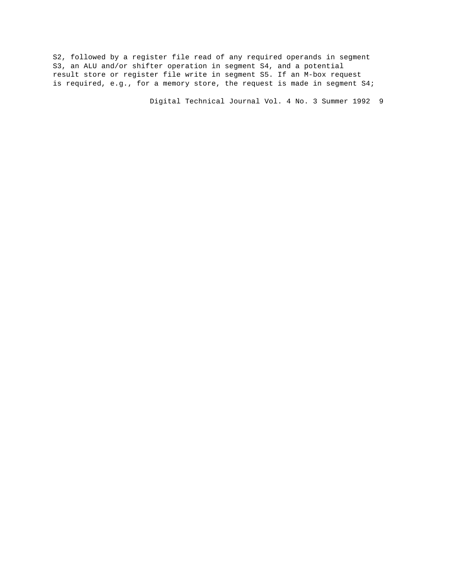S2, followed by a register file read of any required operands in segment S3, an ALU and/or shifter operation in segment S4, and a potential result store or register file write in segment S5. If an M-box request is required, e.g., for a memory store, the request is made in segment S4;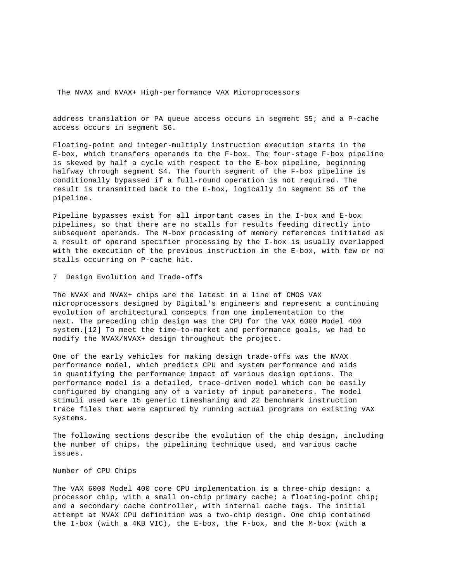address translation or PA queue access occurs in segment S5; and a P-cache access occurs in segment S6.

Floating-point and integer-multiply instruction execution starts in the E-box, which transfers operands to the F-box. The four-stage F-box pipeline is skewed by half a cycle with respect to the E-box pipeline, beginning halfway through segment S4. The fourth segment of the F-box pipeline is conditionally bypassed if a full-round operation is not required. The result is transmitted back to the E-box, logically in segment S5 of the pipeline.

Pipeline bypasses exist for all important cases in the I-box and E-box pipelines, so that there are no stalls for results feeding directly into subsequent operands. The M-box processing of memory references initiated as a result of operand specifier processing by the I-box is usually overlapped with the execution of the previous instruction in the E-box, with few or no stalls occurring on P-cache hit.

7 Design Evolution and Trade-offs

The NVAX and NVAX+ chips are the latest in a line of CMOS VAX microprocessors designed by Digital's engineers and represent a continuing evolution of architectural concepts from one implementation to the next. The preceding chip design was the CPU for the VAX 6000 Model 400 system.[12] To meet the time-to-market and performance goals, we had to modify the NVAX/NVAX+ design throughout the project.

One of the early vehicles for making design trade-offs was the NVAX performance model, which predicts CPU and system performance and aids in quantifying the performance impact of various design options. The performance model is a detailed, trace-driven model which can be easily configured by changing any of a variety of input parameters. The model stimuli used were 15 generic timesharing and 22 benchmark instruction trace files that were captured by running actual programs on existing VAX systems.

The following sections describe the evolution of the chip design, including the number of chips, the pipelining technique used, and various cache issues.

# Number of CPU Chips

The VAX 6000 Model 400 core CPU implementation is a three-chip design: a processor chip, with a small on-chip primary cache; a floating-point chip; and a secondary cache controller, with internal cache tags. The initial attempt at NVAX CPU definition was a two-chip design. One chip contained the I-box (with a 4KB VIC), the E-box, the F-box, and the M-box (with a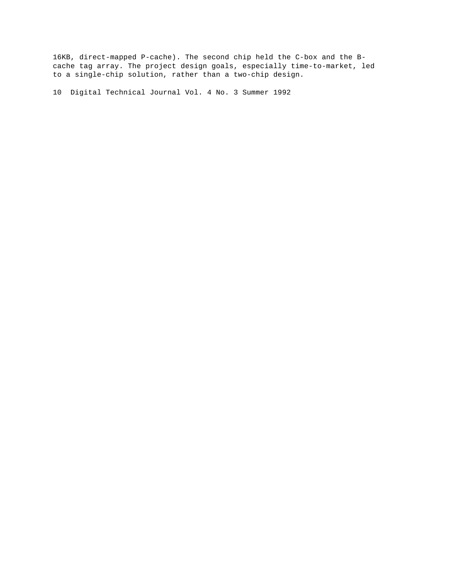16KB, direct-mapped P-cache). The second chip held the C-box and the Bcache tag array. The project design goals, especially time-to-market, led to a single-chip solution, rather than a two-chip design.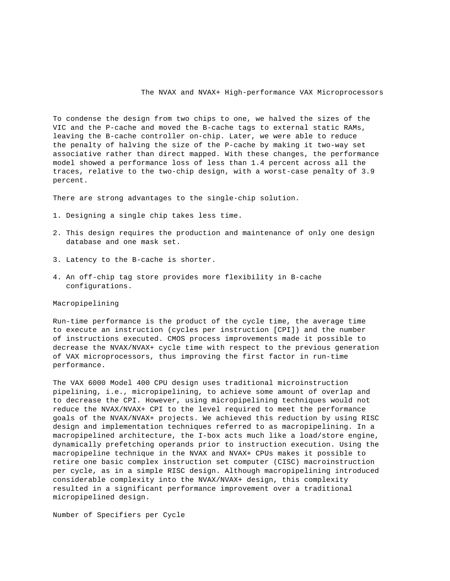To condense the design from two chips to one, we halved the sizes of the VIC and the P-cache and moved the B-cache tags to external static RAMs, leaving the B-cache controller on-chip. Later, we were able to reduce the penalty of halving the size of the P-cache by making it two-way set associative rather than direct mapped. With these changes, the performance model showed a performance loss of less than 1.4 percent across all the traces, relative to the two-chip design, with a worst-case penalty of 3.9 percent.

There are strong advantages to the single-chip solution.

- 1. Designing a single chip takes less time.
- 2. This design requires the production and maintenance of only one design database and one mask set.
- 3. Latency to the B-cache is shorter.
- 4. An off-chip tag store provides more flexibility in B-cache configurations.

#### Macropipelining

Run-time performance is the product of the cycle time, the average time to execute an instruction (cycles per instruction [CPI]) and the number of instructions executed. CMOS process improvements made it possible to decrease the NVAX/NVAX+ cycle time with respect to the previous generation of VAX microprocessors, thus improving the first factor in run-time performance.

The VAX 6000 Model 400 CPU design uses traditional microinstruction pipelining, i.e., micropipelining, to achieve some amount of overlap and to decrease the CPI. However, using micropipelining techniques would not reduce the NVAX/NVAX+ CPI to the level required to meet the performance goals of the NVAX/NVAX+ projects. We achieved this reduction by using RISC design and implementation techniques referred to as macropipelining. In a macropipelined architecture, the I-box acts much like a load/store engine, dynamically prefetching operands prior to instruction execution. Using the macropipeline technique in the NVAX and NVAX+ CPUs makes it possible to retire one basic complex instruction set computer (CISC) macroinstruction per cycle, as in a simple RISC design. Although macropipelining introduced considerable complexity into the NVAX/NVAX+ design, this complexity resulted in a significant performance improvement over a traditional micropipelined design.

Number of Specifiers per Cycle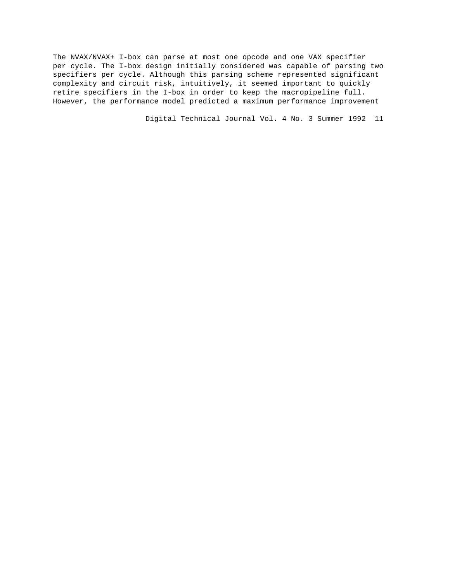The NVAX/NVAX+ I-box can parse at most one opcode and one VAX specifier per cycle. The I-box design initially considered was capable of parsing two specifiers per cycle. Although this parsing scheme represented significant complexity and circuit risk, intuitively, it seemed important to quickly retire specifiers in the I-box in order to keep the macropipeline full. However, the performance model predicted a maximum performance improvement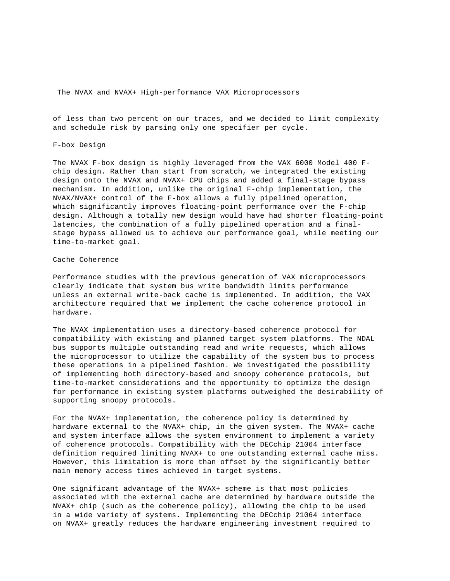of less than two percent on our traces, and we decided to limit complexity and schedule risk by parsing only one specifier per cycle.

# F-box Design

The NVAX F-box design is highly leveraged from the VAX 6000 Model 400 Fchip design. Rather than start from scratch, we integrated the existing design onto the NVAX and NVAX+ CPU chips and added a final-stage bypass mechanism. In addition, unlike the original F-chip implementation, the NVAX/NVAX+ control of the F-box allows a fully pipelined operation, which significantly improves floating-point performance over the F-chip design. Although a totally new design would have had shorter floating-point latencies, the combination of a fully pipelined operation and a finalstage bypass allowed us to achieve our performance goal, while meeting our time-to-market goal.

## Cache Coherence

Performance studies with the previous generation of VAX microprocessors clearly indicate that system bus write bandwidth limits performance unless an external write-back cache is implemented. In addition, the VAX architecture required that we implement the cache coherence protocol in hardware.

The NVAX implementation uses a directory-based coherence protocol for compatibility with existing and planned target system platforms. The NDAL bus supports multiple outstanding read and write requests, which allows the microprocessor to utilize the capability of the system bus to process these operations in a pipelined fashion. We investigated the possibility of implementing both directory-based and snoopy coherence protocols, but time-to-market considerations and the opportunity to optimize the design for performance in existing system platforms outweighed the desirability of supporting snoopy protocols.

For the NVAX+ implementation, the coherence policy is determined by hardware external to the NVAX+ chip, in the given system. The NVAX+ cache and system interface allows the system environment to implement a variety of coherence protocols. Compatibility with the DECchip 21064 interface definition required limiting NVAX+ to one outstanding external cache miss. However, this limitation is more than offset by the significantly better main memory access times achieved in target systems.

One significant advantage of the NVAX+ scheme is that most policies associated with the external cache are determined by hardware outside the NVAX+ chip (such as the coherence policy), allowing the chip to be used in a wide variety of systems. Implementing the DECchip 21064 interface on NVAX+ greatly reduces the hardware engineering investment required to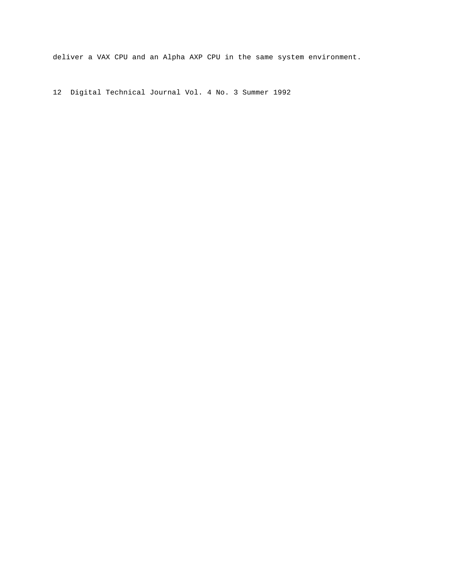deliver a VAX CPU and an Alpha AXP CPU in the same system environment.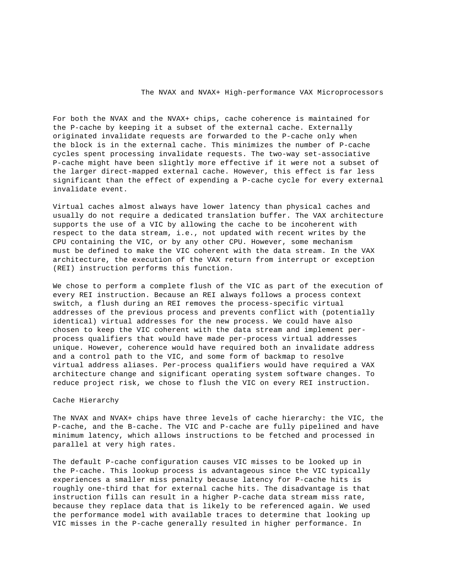For both the NVAX and the NVAX+ chips, cache coherence is maintained for the P-cache by keeping it a subset of the external cache. Externally originated invalidate requests are forwarded to the P-cache only when the block is in the external cache. This minimizes the number of P-cache cycles spent processing invalidate requests. The two-way set-associative P-cache might have been slightly more effective if it were not a subset of the larger direct-mapped external cache. However, this effect is far less significant than the effect of expending a P-cache cycle for every external invalidate event.

Virtual caches almost always have lower latency than physical caches and usually do not require a dedicated translation buffer. The VAX architecture supports the use of a VIC by allowing the cache to be incoherent with respect to the data stream, i.e., not updated with recent writes by the CPU containing the VIC, or by any other CPU. However, some mechanism must be defined to make the VIC coherent with the data stream. In the VAX architecture, the execution of the VAX return from interrupt or exception (REI) instruction performs this function.

We chose to perform a complete flush of the VIC as part of the execution of every REI instruction. Because an REI always follows a process context switch, a flush during an REI removes the process-specific virtual addresses of the previous process and prevents conflict with (potentially identical) virtual addresses for the new process. We could have also chosen to keep the VIC coherent with the data stream and implement perprocess qualifiers that would have made per-process virtual addresses unique. However, coherence would have required both an invalidate address and a control path to the VIC, and some form of backmap to resolve virtual address aliases. Per-process qualifiers would have required a VAX architecture change and significant operating system software changes. To reduce project risk, we chose to flush the VIC on every REI instruction.

## Cache Hierarchy

The NVAX and NVAX+ chips have three levels of cache hierarchy: the VIC, the P-cache, and the B-cache. The VIC and P-cache are fully pipelined and have minimum latency, which allows instructions to be fetched and processed in parallel at very high rates.

The default P-cache configuration causes VIC misses to be looked up in the P-cache. This lookup process is advantageous since the VIC typically experiences a smaller miss penalty because latency for P-cache hits is roughly one-third that for external cache hits. The disadvantage is that instruction fills can result in a higher P-cache data stream miss rate, because they replace data that is likely to be referenced again. We used the performance model with available traces to determine that looking up VIC misses in the P-cache generally resulted in higher performance. In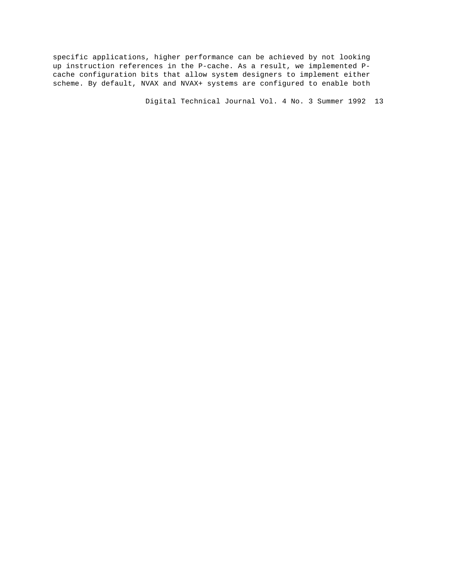specific applications, higher performance can be achieved by not looking up instruction references in the P-cache. As a result, we implemented Pcache configuration bits that allow system designers to implement either scheme. By default, NVAX and NVAX+ systems are configured to enable both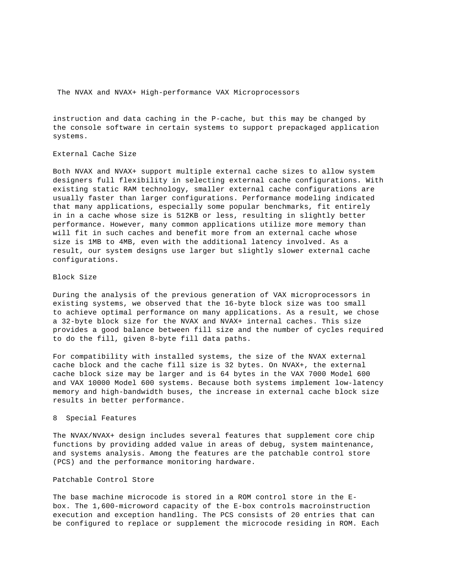instruction and data caching in the P-cache, but this may be changed by the console software in certain systems to support prepackaged application systems.

# External Cache Size

Both NVAX and NVAX+ support multiple external cache sizes to allow system designers full flexibility in selecting external cache configurations. With existing static RAM technology, smaller external cache configurations are usually faster than larger configurations. Performance modeling indicated that many applications, especially some popular benchmarks, fit entirely in in a cache whose size is 512KB or less, resulting in slightly better performance. However, many common applications utilize more memory than will fit in such caches and benefit more from an external cache whose size is 1MB to 4MB, even with the additional latency involved. As a result, our system designs use larger but slightly slower external cache configurations.

# Block Size

During the analysis of the previous generation of VAX microprocessors in existing systems, we observed that the 16-byte block size was too small to achieve optimal performance on many applications. As a result, we chose a 32-byte block size for the NVAX and NVAX+ internal caches. This size provides a good balance between fill size and the number of cycles required to do the fill, given 8-byte fill data paths.

For compatibility with installed systems, the size of the NVAX external cache block and the cache fill size is 32 bytes. On NVAX+, the external cache block size may be larger and is 64 bytes in the VAX 7000 Model 600 and VAX 10000 Model 600 systems. Because both systems implement low-latency memory and high-bandwidth buses, the increase in external cache block size results in better performance.

#### 8 Special Features

The NVAX/NVAX+ design includes several features that supplement core chip functions by providing added value in areas of debug, system maintenance, and systems analysis. Among the features are the patchable control store (PCS) and the performance monitoring hardware.

### Patchable Control Store

The base machine microcode is stored in a ROM control store in the Ebox. The 1,600-microword capacity of the E-box controls macroinstruction execution and exception handling. The PCS consists of 20 entries that can be configured to replace or supplement the microcode residing in ROM. Each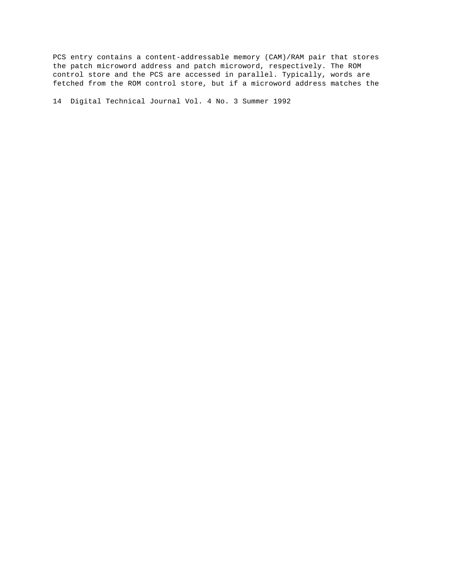PCS entry contains a content-addressable memory (CAM)/RAM pair that stores the patch microword address and patch microword, respectively. The ROM control store and the PCS are accessed in parallel. Typically, words are fetched from the ROM control store, but if a microword address matches the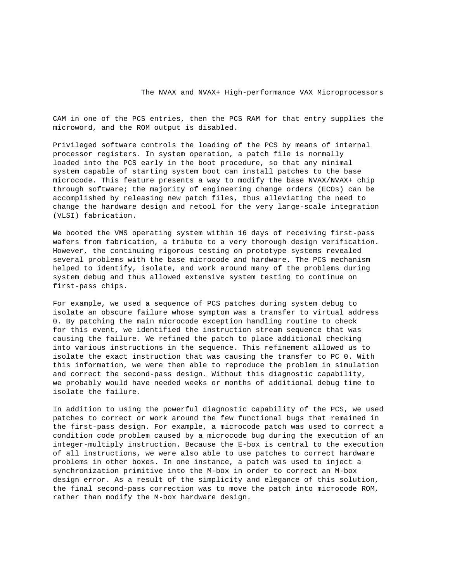CAM in one of the PCS entries, then the PCS RAM for that entry supplies the microword, and the ROM output is disabled.

Privileged software controls the loading of the PCS by means of internal processor registers. In system operation, a patch file is normally loaded into the PCS early in the boot procedure, so that any minimal system capable of starting system boot can install patches to the base microcode. This feature presents a way to modify the base NVAX/NVAX+ chip through software; the majority of engineering change orders (ECOs) can be accomplished by releasing new patch files, thus alleviating the need to change the hardware design and retool for the very large-scale integration (VLSI) fabrication.

We booted the VMS operating system within 16 days of receiving first-pass wafers from fabrication, a tribute to a very thorough design verification. However, the continuing rigorous testing on prototype systems revealed several problems with the base microcode and hardware. The PCS mechanism helped to identify, isolate, and work around many of the problems during system debug and thus allowed extensive system testing to continue on first-pass chips.

For example, we used a sequence of PCS patches during system debug to isolate an obscure failure whose symptom was a transfer to virtual address 0. By patching the main microcode exception handling routine to check for this event, we identified the instruction stream sequence that was causing the failure. We refined the patch to place additional checking into various instructions in the sequence. This refinement allowed us to isolate the exact instruction that was causing the transfer to PC 0. With this information, we were then able to reproduce the problem in simulation and correct the second-pass design. Without this diagnostic capability, we probably would have needed weeks or months of additional debug time to isolate the failure.

In addition to using the powerful diagnostic capability of the PCS, we used patches to correct or work around the few functional bugs that remained in the first-pass design. For example, a microcode patch was used to correct a condition code problem caused by a microcode bug during the execution of an integer-multiply instruction. Because the E-box is central to the execution of all instructions, we were also able to use patches to correct hardware problems in other boxes. In one instance, a patch was used to inject a synchronization primitive into the M-box in order to correct an M-box design error. As a result of the simplicity and elegance of this solution, the final second-pass correction was to move the patch into microcode ROM, rather than modify the M-box hardware design.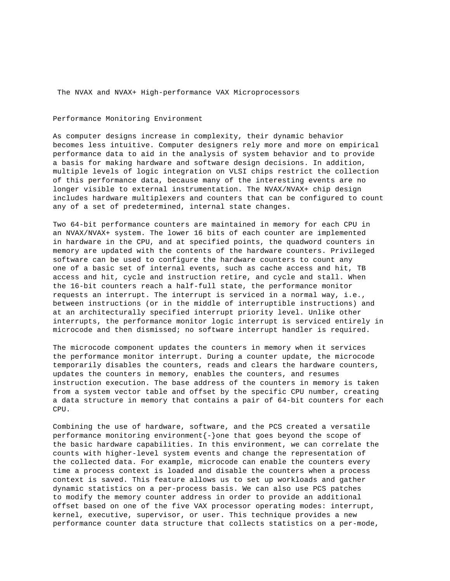## Performance Monitoring Environment

As computer designs increase in complexity, their dynamic behavior becomes less intuitive. Computer designers rely more and more on empirical performance data to aid in the analysis of system behavior and to provide a basis for making hardware and software design decisions. In addition, multiple levels of logic integration on VLSI chips restrict the collection of this performance data, because many of the interesting events are no longer visible to external instrumentation. The NVAX/NVAX+ chip design includes hardware multiplexers and counters that can be configured to count any of a set of predetermined, internal state changes.

Two 64-bit performance counters are maintained in memory for each CPU in an NVAX/NVAX+ system. The lower 16 bits of each counter are implemented in hardware in the CPU, and at specified points, the quadword counters in memory are updated with the contents of the hardware counters. Privileged software can be used to configure the hardware counters to count any one of a basic set of internal events, such as cache access and hit, TB access and hit, cycle and instruction retire, and cycle and stall. When the 16-bit counters reach a half-full state, the performance monitor requests an interrupt. The interrupt is serviced in a normal way, i.e., between instructions (or in the middle of interruptible instructions) and at an architecturally specified interrupt priority level. Unlike other interrupts, the performance monitor logic interrupt is serviced entirely in microcode and then dismissed; no software interrupt handler is required.

The microcode component updates the counters in memory when it services the performance monitor interrupt. During a counter update, the microcode temporarily disables the counters, reads and clears the hardware counters, updates the counters in memory, enables the counters, and resumes instruction execution. The base address of the counters in memory is taken from a system vector table and offset by the specific CPU number, creating a data structure in memory that contains a pair of 64-bit counters for each CPU.

Combining the use of hardware, software, and the PCS created a versatile performance monitoring environment $\{-\}$ one that goes beyond the scope of the basic hardware capabilities. In this environment, we can correlate the counts with higher-level system events and change the representation of the collected data. For example, microcode can enable the counters every time a process context is loaded and disable the counters when a process context is saved. This feature allows us to set up workloads and gather dynamic statistics on a per-process basis. We can also use PCS patches to modify the memory counter address in order to provide an additional offset based on one of the five VAX processor operating modes: interrupt, kernel, executive, supervisor, or user. This technique provides a new performance counter data structure that collects statistics on a per-mode,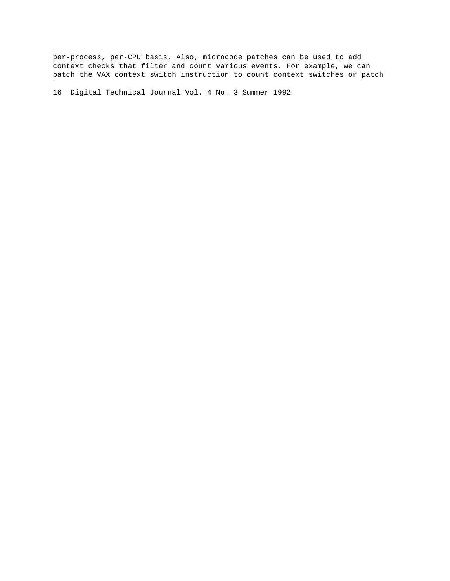per-process, per-CPU basis. Also, microcode patches can be used to add context checks that filter and count various events. For example, we can patch the VAX context switch instruction to count context switches or patch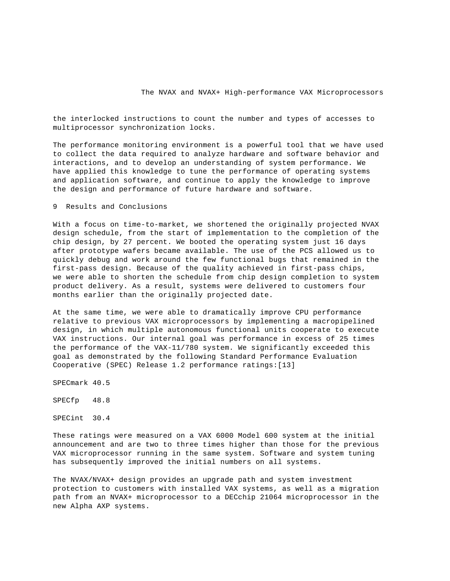the interlocked instructions to count the number and types of accesses to multiprocessor synchronization locks.

The performance monitoring environment is a powerful tool that we have used to collect the data required to analyze hardware and software behavior and interactions, and to develop an understanding of system performance. We have applied this knowledge to tune the performance of operating systems and application software, and continue to apply the knowledge to improve the design and performance of future hardware and software.

9 Results and Conclusions

With a focus on time-to-market, we shortened the originally projected NVAX design schedule, from the start of implementation to the completion of the chip design, by 27 percent. We booted the operating system just 16 days after prototype wafers became available. The use of the PCS allowed us to quickly debug and work around the few functional bugs that remained in the first-pass design. Because of the quality achieved in first-pass chips, we were able to shorten the schedule from chip design completion to system product delivery. As a result, systems were delivered to customers four months earlier than the originally projected date.

At the same time, we were able to dramatically improve CPU performance relative to previous VAX microprocessors by implementing a macropipelined design, in which multiple autonomous functional units cooperate to execute VAX instructions. Our internal goal was performance in excess of 25 times the performance of the VAX-11/780 system. We significantly exceeded this goal as demonstrated by the following Standard Performance Evaluation Cooperative (SPEC) Release 1.2 performance ratings:[13]

SPECmark 40.5

SPECfp 48.8

SPECint 30.4

These ratings were measured on a VAX 6000 Model 600 system at the initial announcement and are two to three times higher than those for the previous VAX microprocessor running in the same system. Software and system tuning has subsequently improved the initial numbers on all systems.

The NVAX/NVAX+ design provides an upgrade path and system investment protection to customers with installed VAX systems, as well as a migration path from an NVAX+ microprocessor to a DECchip 21064 microprocessor in the new Alpha AXP systems.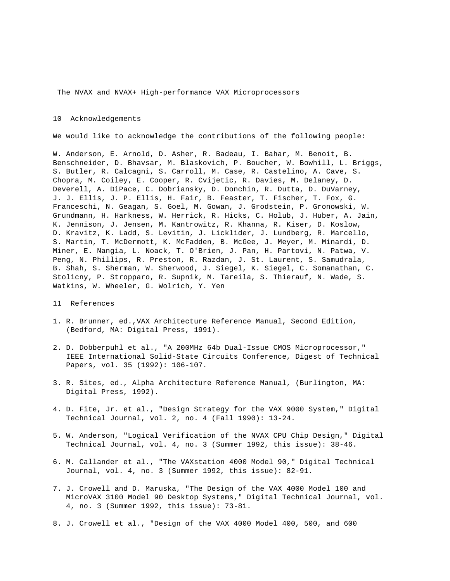#### 10 Acknowledgements

We would like to acknowledge the contributions of the following people:

W. Anderson, E. Arnold, D. Asher, R. Badeau, I. Bahar, M. Benoit, B. Benschneider, D. Bhavsar, M. Blaskovich, P. Boucher, W. Bowhill, L. Briggs, S. Butler, R. Calcagni, S. Carroll, M. Case, R. Castelino, A. Cave, S. Chopra, M. Coiley, E. Cooper, R. Cvijetic, R. Davies, M. Delaney, D. Deverell, A. DiPace, C. Dobriansky, D. Donchin, R. Dutta, D. DuVarney, J. J. Ellis, J. P. Ellis, H. Fair, B. Feaster, T. Fischer, T. Fox, G. Franceschi, N. Geagan, S. Goel, M. Gowan, J. Grodstein, P. Gronowski, W. Grundmann, H. Harkness, W. Herrick, R. Hicks, C. Holub, J. Huber, A. Jain, K. Jennison, J. Jensen, M. Kantrowitz, R. Khanna, R. Kiser, D. Koslow, D. Kravitz, K. Ladd, S. Levitin, J. Licklider, J. Lundberg, R. Marcello, S. Martin, T. McDermott, K. McFadden, B. McGee, J. Meyer, M. Minardi, D. Miner, E. Nangia, L. Noack, T. O'Brien, J. Pan, H. Partovi, N. Patwa, V. Peng, N. Phillips, R. Preston, R. Razdan, J. St. Laurent, S. Samudrala, B. Shah, S. Sherman, W. Sherwood, J. Siegel, K. Siegel, C. Somanathan, C. Stolicny, P. Stropparo, R. Supnik, M. Tareila, S. Thierauf, N. Wade, S. Watkins, W. Wheeler, G. Wolrich, Y. Yen

- 11 References
- 1. R. Brunner, ed.,VAX Architecture Reference Manual, Second Edition, (Bedford, MA: Digital Press, 1991).
- 2. D. Dobberpuhl et al., "A 200MHz 64b Dual-Issue CMOS Microprocessor," IEEE International Solid-State Circuits Conference, Digest of Technical Papers, vol. 35 (1992): 106-107.
- 3. R. Sites, ed., Alpha Architecture Reference Manual, (Burlington, MA: Digital Press, 1992).
- 4. D. Fite, Jr. et al., "Design Strategy for the VAX 9000 System," Digital Technical Journal, vol. 2, no. 4 (Fall 1990): 13-24.
- 5. W. Anderson, "Logical Verification of the NVAX CPU Chip Design," Digital Technical Journal, vol. 4, no. 3 (Summer 1992, this issue): 38-46.
- 6. M. Callander et al., "The VAXstation 4000 Model 90," Digital Technical Journal, vol. 4, no. 3 (Summer 1992, this issue): 82-91.
- 7. J. Crowell and D. Maruska, "The Design of the VAX 4000 Model 100 and MicroVAX 3100 Model 90 Desktop Systems," Digital Technical Journal, vol. 4, no. 3 (Summer 1992, this issue): 73-81.
- 8. J. Crowell et al., "Design of the VAX 4000 Model 400, 500, and 600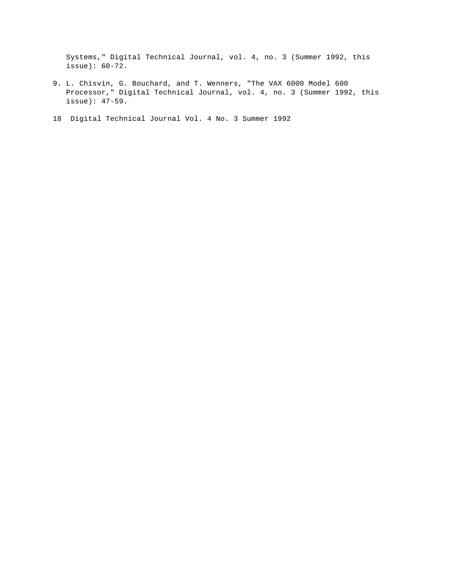Systems," Digital Technical Journal, vol. 4, no. 3 (Summer 1992, this issue): 60-72.

- 9. L. Chisvin, G. Bouchard, and T. Wenners, "The VAX 6000 Model 600 Processor," Digital Technical Journal, vol. 4, no. 3 (Summer 1992, this issue): 47-59.
- 18 Digital Technical Journal Vol. 4 No. 3 Summer 1992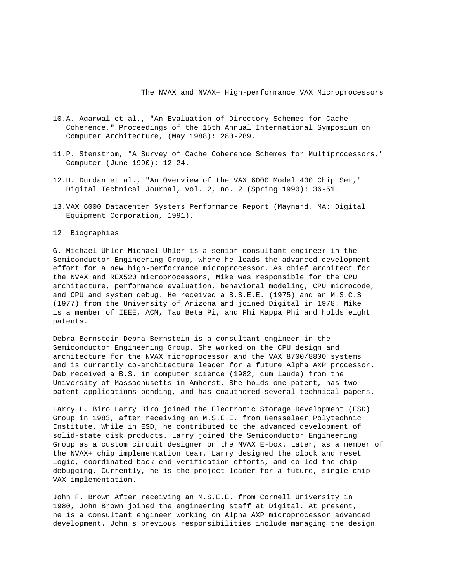- 10.A. Agarwal et al., "An Evaluation of Directory Schemes for Cache Coherence," Proceedings of the 15th Annual International Symposium on Computer Architecture, (May 1988): 280-289.
- 11.P. Stenstrom, "A Survey of Cache Coherence Schemes for Multiprocessors," Computer (June 1990): 12-24.
- 12.H. Durdan et al., "An Overview of the VAX 6000 Model 400 Chip Set," Digital Technical Journal, vol. 2, no. 2 (Spring 1990): 36-51.
- 13.VAX 6000 Datacenter Systems Performance Report (Maynard, MA: Digital Equipment Corporation, 1991).
- 12 Biographies

G. Michael Uhler Michael Uhler is a senior consultant engineer in the Semiconductor Engineering Group, where he leads the advanced development effort for a new high-performance microprocessor. As chief architect for the NVAX and REX520 microprocessors, Mike was responsible for the CPU architecture, performance evaluation, behavioral modeling, CPU microcode, and CPU and system debug. He received a B.S.E.E. (1975) and an M.S.C.S (1977) from the University of Arizona and joined Digital in 1978. Mike is a member of IEEE, ACM, Tau Beta Pi, and Phi Kappa Phi and holds eight patents.

Debra Bernstein Debra Bernstein is a consultant engineer in the Semiconductor Engineering Group. She worked on the CPU design and architecture for the NVAX microprocessor and the VAX 8700/8800 systems and is currently co-architecture leader for a future Alpha AXP processor. Deb received a B.S. in computer science (1982, cum laude) from the University of Massachusetts in Amherst. She holds one patent, has two patent applications pending, and has coauthored several technical papers.

Larry L. Biro Larry Biro joined the Electronic Storage Development (ESD) Group in 1983, after receiving an M.S.E.E. from Rensselaer Polytechnic Institute. While in ESD, he contributed to the advanced development of solid-state disk products. Larry joined the Semiconductor Engineering Group as a custom circuit designer on the NVAX E-box. Later, as a member of the NVAX+ chip implementation team, Larry designed the clock and reset logic, coordinated back-end verification efforts, and co-led the chip debugging. Currently, he is the project leader for a future, single-chip VAX implementation.

John F. Brown After receiving an M.S.E.E. from Cornell University in 1980, John Brown joined the engineering staff at Digital. At present, he is a consultant engineer working on Alpha AXP microprocessor advanced development. John's previous responsibilities include managing the design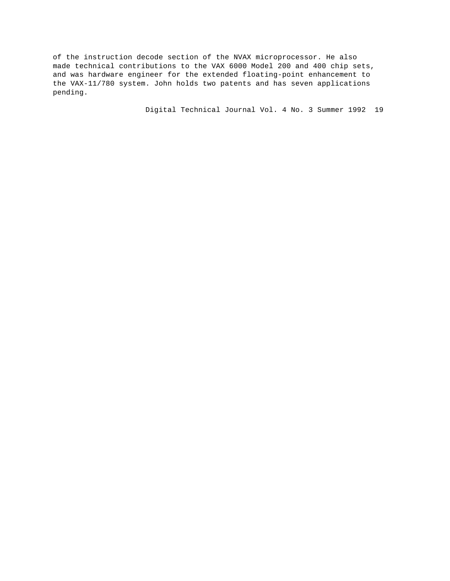of the instruction decode section of the NVAX microprocessor. He also made technical contributions to the VAX 6000 Model 200 and 400 chip sets, and was hardware engineer for the extended floating-point enhancement to the VAX-11/780 system. John holds two patents and has seven applications pending.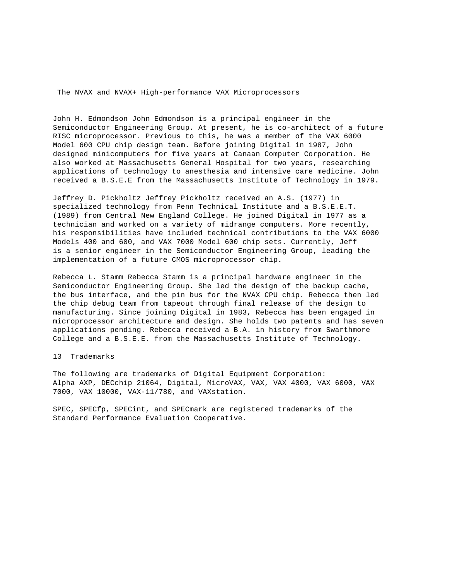John H. Edmondson John Edmondson is a principal engineer in the Semiconductor Engineering Group. At present, he is co-architect of a future RISC microprocessor. Previous to this, he was a member of the VAX 6000 Model 600 CPU chip design team. Before joining Digital in 1987, John designed minicomputers for five years at Canaan Computer Corporation. He also worked at Massachusetts General Hospital for two years, researching applications of technology to anesthesia and intensive care medicine. John received a B.S.E.E from the Massachusetts Institute of Technology in 1979.

Jeffrey D. Pickholtz Jeffrey Pickholtz received an A.S. (1977) in specialized technology from Penn Technical Institute and a B.S.E.E.T. (1989) from Central New England College. He joined Digital in 1977 as a technician and worked on a variety of midrange computers. More recently, his responsibilities have included technical contributions to the VAX 6000 Models 400 and 600, and VAX 7000 Model 600 chip sets. Currently, Jeff is a senior engineer in the Semiconductor Engineering Group, leading the implementation of a future CMOS microprocessor chip.

Rebecca L. Stamm Rebecca Stamm is a principal hardware engineer in the Semiconductor Engineering Group. She led the design of the backup cache, the bus interface, and the pin bus for the NVAX CPU chip. Rebecca then led the chip debug team from tapeout through final release of the design to manufacturing. Since joining Digital in 1983, Rebecca has been engaged in microprocessor architecture and design. She holds two patents and has seven applications pending. Rebecca received a B.A. in history from Swarthmore College and a B.S.E.E. from the Massachusetts Institute of Technology.

## 13 Trademarks

The following are trademarks of Digital Equipment Corporation: Alpha AXP, DECchip 21064, Digital, MicroVAX, VAX, VAX 4000, VAX 6000, VAX 7000, VAX 10000, VAX-11/780, and VAXstation.

SPEC, SPECfp, SPECint, and SPECmark are registered trademarks of the Standard Performance Evaluation Cooperative.